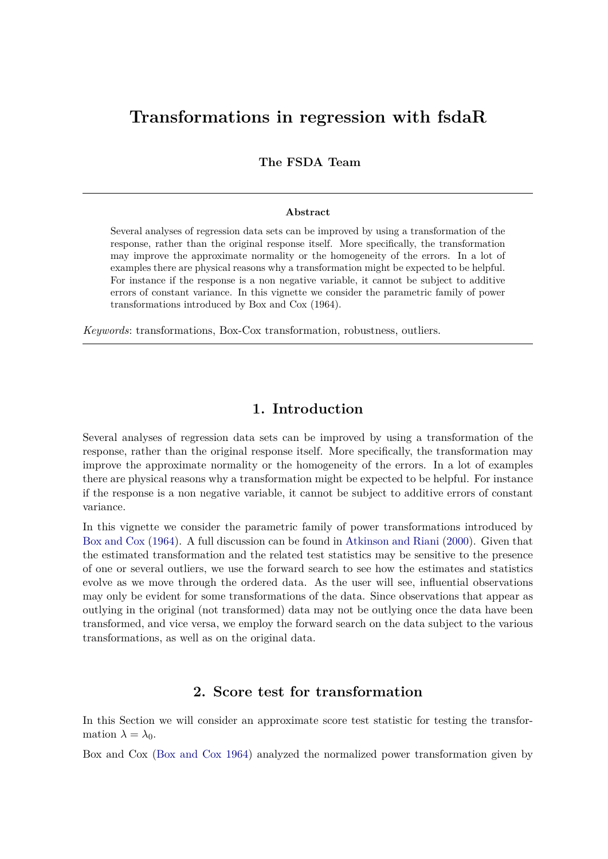# **Transformations in regression with fsdaR**

**The FSDA Team**

#### **Abstract**

Several analyses of regression data sets can be improved by using a transformation of the response, rather than the original response itself. More specifically, the transformation may improve the approximate normality or the homogeneity of the errors. In a lot of examples there are physical reasons why a transformation might be expected to be helpful. For instance if the response is a non negative variable, it cannot be subject to additive errors of constant variance. In this vignette we consider the parametric family of power transformations introduced by Box and Cox (1964).

*Keywords*: transformations, Box-Cox transformation, robustness, outliers.

# **1. Introduction**

Several analyses of regression data sets can be improved by using a transformation of the response, rather than the original response itself. More specifically, the transformation may improve the approximate normality or the homogeneity of the errors. In a lot of examples there are physical reasons why a transformation might be expected to be helpful. For instance if the response is a non negative variable, it cannot be subject to additive errors of constant variance.

In this vignette we consider the parametric family of power transformations introduced by [Box and Cox](#page-13-0) [\(1964\)](#page-13-0). A full discussion can be found in [Atkinson and Riani](#page-13-1) [\(2000\)](#page-13-1). Given that the estimated transformation and the related test statistics may be sensitive to the presence of one or several outliers, we use the forward search to see how the estimates and statistics evolve as we move through the ordered data. As the user will see, influential observations may only be evident for some transformations of the data. Since observations that appear as outlying in the original (not transformed) data may not be outlying once the data have been transformed, and vice versa, we employ the forward search on the data subject to the various transformations, as well as on the original data.

# **2. Score test for transformation**

In this Section we will consider an approximate score test statistic for testing the transformation  $\lambda = \lambda_0$ .

Box and Cox [\(Box and Cox 1964\)](#page-13-0) analyzed the normalized power transformation given by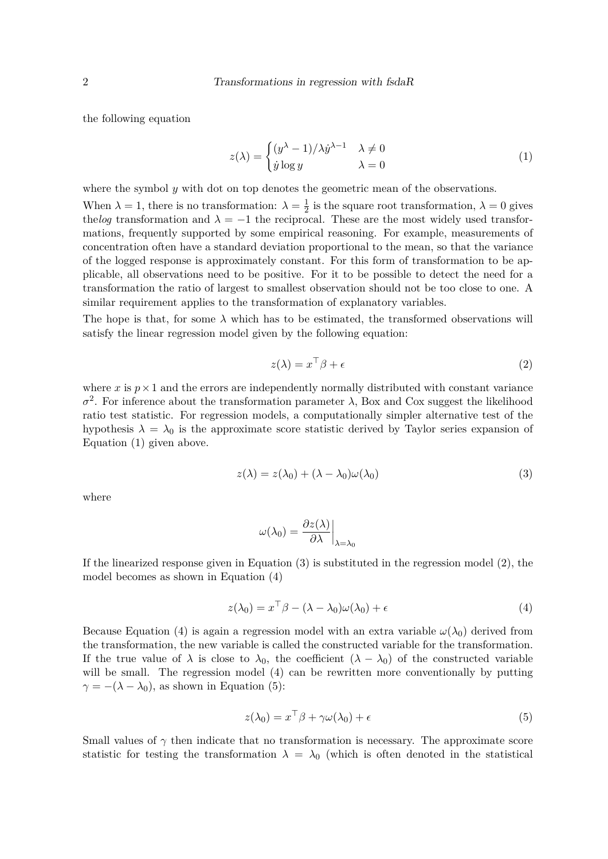the following equation

$$
z(\lambda) = \begin{cases} (y^{\lambda} - 1)/\lambda \dot{y}^{\lambda - 1} & \lambda \neq 0 \\ \dot{y} \log y & \lambda = 0 \end{cases}
$$
 (1)

where the symbol *y* with dot on top denotes the geometric mean of the observations.

When  $\lambda = 1$ , there is no transformation:  $\lambda = \frac{1}{2}$  $\frac{1}{2}$  is the square root transformation,  $\lambda = 0$  gives the *log* transformation and  $\lambda = -1$  the reciprocal. These are the most widely used transformations, frequently supported by some empirical reasoning. For example, measurements of concentration often have a standard deviation proportional to the mean, so that the variance of the logged response is approximately constant. For this form of transformation to be applicable, all observations need to be positive. For it to be possible to detect the need for a transformation the ratio of largest to smallest observation should not be too close to one. A similar requirement applies to the transformation of explanatory variables.

The hope is that, for some  $\lambda$  which has to be estimated, the transformed observations will satisfy the linear regression model given by the following equation:

$$
z(\lambda) = x^{\top} \beta + \epsilon \tag{2}
$$

where  $x$  is  $p \times 1$  and the errors are independently normally distributed with constant variance  $\sigma^2$ . For inference about the transformation parameter  $\lambda$ , Box and Cox suggest the likelihood ratio test statistic. For regression models, a computationally simpler alternative test of the hypothesis  $\lambda = \lambda_0$  is the approximate score statistic derived by Taylor series expansion of Equation (1) given above.

$$
z(\lambda) = z(\lambda_0) + (\lambda - \lambda_0)\omega(\lambda_0)
$$
\n(3)

where

$$
\omega(\lambda_0) = \frac{\partial z(\lambda)}{\partial \lambda}\Big|_{\lambda = \lambda_0}
$$

If the linearized response given in Equation (3) is substituted in the regression model (2), the model becomes as shown in Equation (4)

$$
z(\lambda_0) = x^\top \beta - (\lambda - \lambda_0)\omega(\lambda_0) + \epsilon \tag{4}
$$

Because Equation (4) is again a regression model with an extra variable  $\omega(\lambda_0)$  derived from the transformation, the new variable is called the constructed variable for the transformation. If the true value of  $\lambda$  is close to  $\lambda_0$ , the coefficient  $(\lambda - \lambda_0)$  of the constructed variable will be small. The regression model (4) can be rewritten more conventionally by putting  $\gamma = -(\lambda - \lambda_0)$ , as shown in Equation (5):

$$
z(\lambda_0) = x^\top \beta + \gamma \omega(\lambda_0) + \epsilon \tag{5}
$$

Small values of  $\gamma$  then indicate that no transformation is necessary. The approximate score statistic for testing the transformation  $\lambda = \lambda_0$  (which is often denoted in the statistical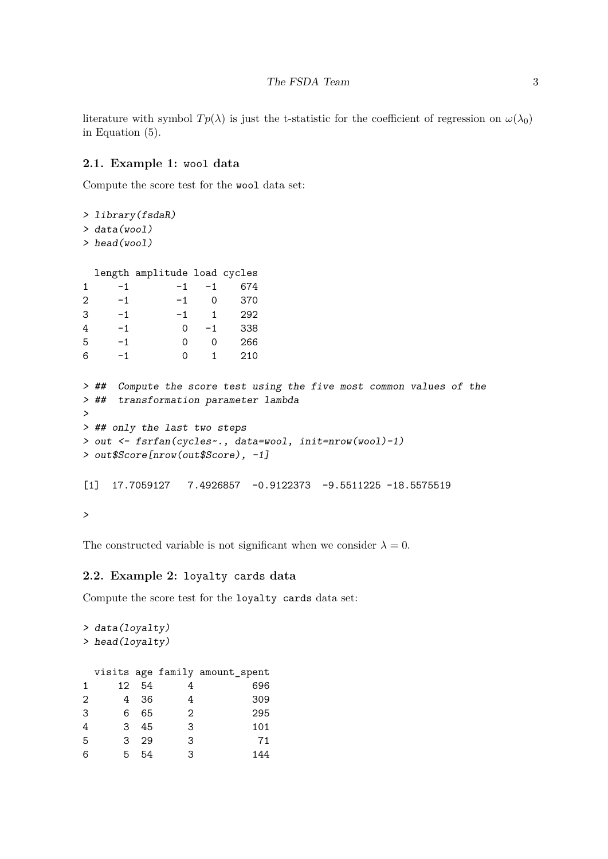literature with symbol  $Tp(\lambda)$  is just the t-statistic for the coefficient of regression on  $\omega(\lambda_0)$ in Equation (5).

### **2.1. Example 1:** wool **data**

Compute the score test for the wool data set:

```
> library(fsdaR)
> data(wool)
> head(wool)
 length amplitude load cycles
1 -1 -1 -1 674
2 -1 -1 0 370
3 -1 -1 1 292
4 -1 0 -1 338
5 -1 0 0 266
6 -1 0 1 210
> ## Compute the score test using the five most common values of the
> ## transformation parameter lambda
>
> ## only the last two steps
> out <- fsrfan(cycles~., data=wool, init=nrow(wool)-1)
> out$Score[nrow(out$Score), -1]
[1] 17.7059127 7.4926857 -0.9122373 -9.5511225 -18.5575519
>
```
The constructed variable is not significant when we consider  $\lambda = 0$ .

#### **2.2. Example 2:** loyalty cards **data**

Compute the score test for the loyalty cards data set:

```
> data(loyalty)
> head(loyalty)
 visits age family amount_spent
1 12 54 4 696
2 4 36 4 309
3 6 65 2 295
4 3 45 3 101
5 3 29 3 71
6 5 54 3 144
```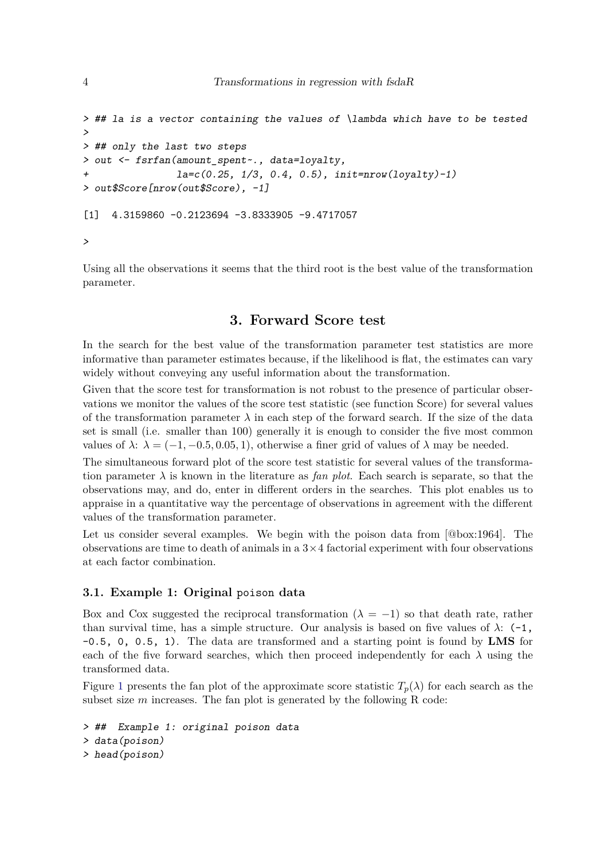```
> ## la is a vector containing the values of \lambda which have to be tested
>
> ## only the last two steps
> out <- fsrfan(amount_spent~., data=loyalty,
+ la=c(0.25, 1/3, 0.4, 0.5), init=nrow(loyalty)-1)
> out$Score[nrow(out$Score), -1]
[1] 4.3159860 -0.2123694 -3.8333905 -9.4717057
>
```
Using all the observations it seems that the third root is the best value of the transformation parameter.

# **3. Forward Score test**

In the search for the best value of the transformation parameter test statistics are more informative than parameter estimates because, if the likelihood is flat, the estimates can vary widely without conveying any useful information about the transformation.

Given that the score test for transformation is not robust to the presence of particular observations we monitor the values of the score test statistic (see function Score) for several values of the transformation parameter  $\lambda$  in each step of the forward search. If the size of the data set is small (i.e. smaller than 100) generally it is enough to consider the five most common values of  $\lambda$ :  $\lambda = (-1, -0.5, 0.05, 1)$ , otherwise a finer grid of values of  $\lambda$  may be needed.

The simultaneous forward plot of the score test statistic for several values of the transformation parameter  $\lambda$  is known in the literature as *fan plot*. Each search is separate, so that the observations may, and do, enter in different orders in the searches. This plot enables us to appraise in a quantitative way the percentage of observations in agreement with the different values of the transformation parameter.

Let us consider several examples. We begin with the poison data from [@box:1964]. The observations are time to death of animals in a  $3 \times 4$  factorial experiment with four observations at each factor combination.

### **3.1. Example 1: Original** poison **data**

Box and Cox suggested the reciprocal transformation  $(\lambda = -1)$  so that death rate, rather than survival time, has a simple structure. Our analysis is based on five values of  $\lambda$ : (-1, -0.5, 0, 0.5, 1). The data are transformed and a starting point is found by **LMS** for each of the five forward searches, which then proceed independently for each  $\lambda$  using the transformed data.

Figure [1](#page-4-0) presents the fan plot of the approximate score statistic  $T_p(\lambda)$  for each search as the subset size *m* increases. The fan plot is generated by the following R code:

```
> ## Example 1: original poison data
> data(poison)
> head(poison)
```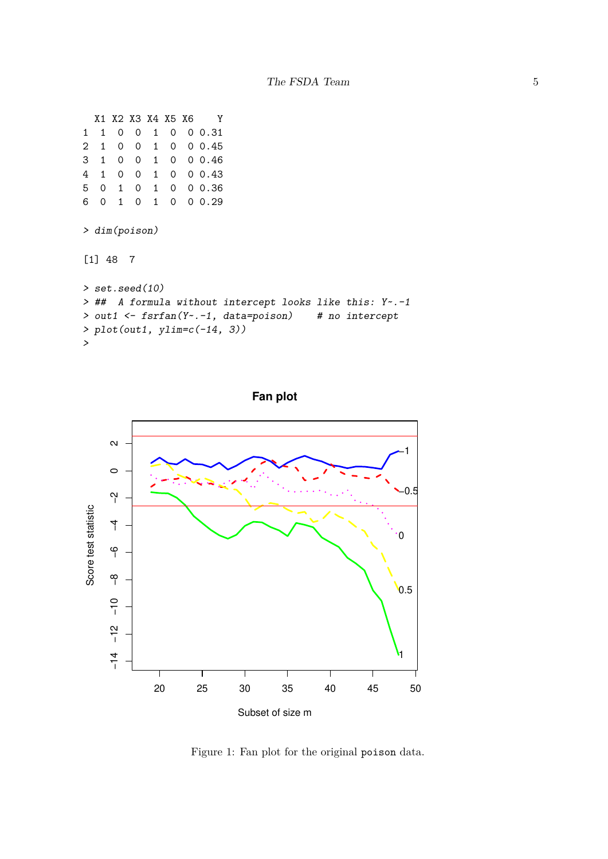```
X1 X2 X3 X4 X5 X6 Y
1 1 0 0 1 0 0 0.31
2 1 0 0 1 0 0 0.45
3 1 0 0 1 0 0 0.46
4 1 0 0 1 0 0 0.43
5 0 1 0 1 0 0 0.36
6 0 1 0 1 0 0 0.29
> dim(poison)
[1] 48 7
> set.seed(10)
> ## A formula without intercept looks like this: Y~.-1
> out1 <- fsrfan(Y~.-1, data=poison) # no intercept
> plot(out1, ylim=c(-14, 3))
>
```


<span id="page-4-0"></span>Figure 1: Fan plot for the original poison data.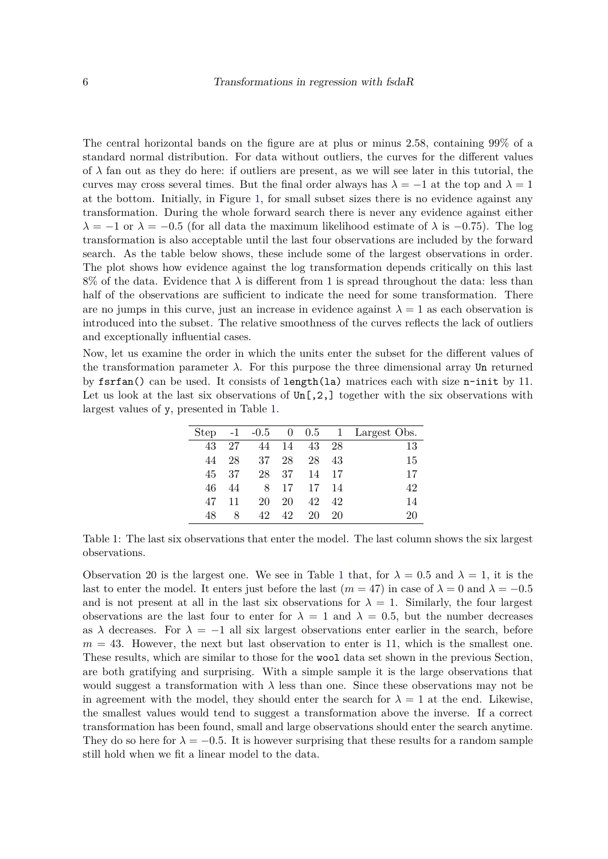The central horizontal bands on the figure are at plus or minus 2.58, containing 99% of a standard normal distribution. For data without outliers, the curves for the different values of  $\lambda$  fan out as they do here: if outliers are present, as we will see later in this tutorial, the curves may cross several times. But the final order always has  $\lambda = -1$  at the top and  $\lambda = 1$ at the bottom. Initially, in Figure [1,](#page-4-0) for small subset sizes there is no evidence against any transformation. During the whole forward search there is never any evidence against either  $\lambda = -1$  or  $\lambda = -0.5$  (for all data the maximum likelihood estimate of  $\lambda$  is  $-0.75$ ). The log transformation is also acceptable until the last four observations are included by the forward search. As the table below shows, these include some of the largest observations in order. The plot shows how evidence against the log transformation depends critically on this last 8% of the data. Evidence that  $\lambda$  is different from 1 is spread throughout the data: less than half of the observations are sufficient to indicate the need for some transformation. There are no jumps in this curve, just an increase in evidence against  $\lambda = 1$  as each observation is introduced into the subset. The relative smoothness of the curves reflects the lack of outliers and exceptionally influential cases.

Now, let us examine the order in which the units enter the subset for the different values of the transformation parameter  $\lambda$ . For this purpose the three dimensional array Un returned by fsrfan() can be used. It consists of length(la) matrices each with size n-init by 11. Let us look at the last six observations of  $Un[,2,]$  together with the six observations with largest values of y, presented in Table [1.](#page-5-0)

<span id="page-5-0"></span>

| Step | $-1$ |    |    |    |     | $-0.5$ 0 0.5 1 Largest Obs. |
|------|------|----|----|----|-----|-----------------------------|
| 43   | 27   | 44 | 14 | 43 | -28 | 13                          |
| 44   | 28   | 37 | 28 | 28 | 43  | 15                          |
| 45   | 37   | 28 | 37 | 14 | 17  | 17                          |
| 46   | 44   | 8  | 17 | 17 | 14  | 42                          |
| 47   | 11   | 20 | 20 | 42 | 42  | 14                          |
| 48   | 8    | 42 | 42 | 20 | 20  | 20                          |
|      |      |    |    |    |     |                             |

Table 1: The last six observations that enter the model. The last column shows the six largest observations.

Observation 20 is the largest one. We see in Table [1](#page-5-0) that, for  $\lambda = 0.5$  and  $\lambda = 1$ , it is the last to enter the model. It enters just before the last  $(m = 47)$  in case of  $\lambda = 0$  and  $\lambda = -0.5$ and is not present at all in the last six observations for  $\lambda = 1$ . Similarly, the four largest observations are the last four to enter for  $\lambda = 1$  and  $\lambda = 0.5$ , but the number decreases as  $\lambda$  decreases. For  $\lambda = -1$  all six largest observations enter earlier in the search, before  $m = 43$ . However, the next but last observation to enter is 11, which is the smallest one. These results, which are similar to those for the wool data set shown in the previous Section, are both gratifying and surprising. With a simple sample it is the large observations that would suggest a transformation with  $\lambda$  less than one. Since these observations may not be in agreement with the model, they should enter the search for  $\lambda = 1$  at the end. Likewise, the smallest values would tend to suggest a transformation above the inverse. If a correct transformation has been found, small and large observations should enter the search anytime. They do so here for  $\lambda = -0.5$ . It is however surprising that these results for a random sample still hold when we fit a linear model to the data.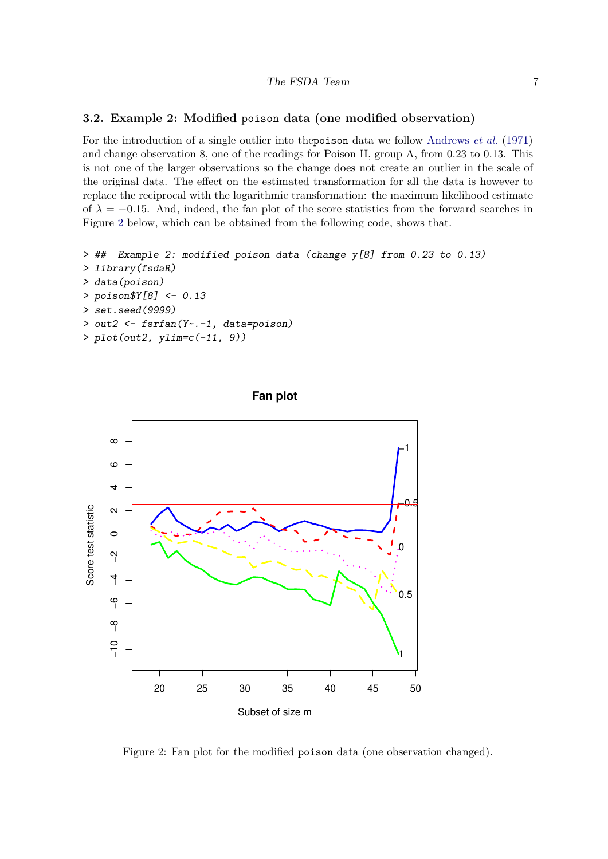#### **3.2. Example 2: Modified** poison **data (one modified observation)**

For the introduction of a single outlier into thepoison data we follow [Andrews](#page-13-2) *et al.* [\(1971\)](#page-13-2) and change observation 8, one of the readings for Poison II, group A, from 0.23 to 0.13. This is not one of the larger observations so the change does not create an outlier in the scale of the original data. The effect on the estimated transformation for all the data is however to replace the reciprocal with the logarithmic transformation: the maximum likelihood estimate of  $\lambda = -0.15$ . And, indeed, the fan plot of the score statistics from the forward searches in Figure [2](#page-6-0) below, which can be obtained from the following code, shows that.

```
> ## Example 2: modified poison data (change y[8] from 0.23 to 0.13)
> library(fsdaR)
> data(poison)
> poison$Y[8] <- 0.13
> set.seed(9999)
> out2 <- fsrfan(Y~.-1, data=poison)
> plot(out2, ylim=c(-11, 9))
```




<span id="page-6-0"></span>Figure 2: Fan plot for the modified poison data (one observation changed).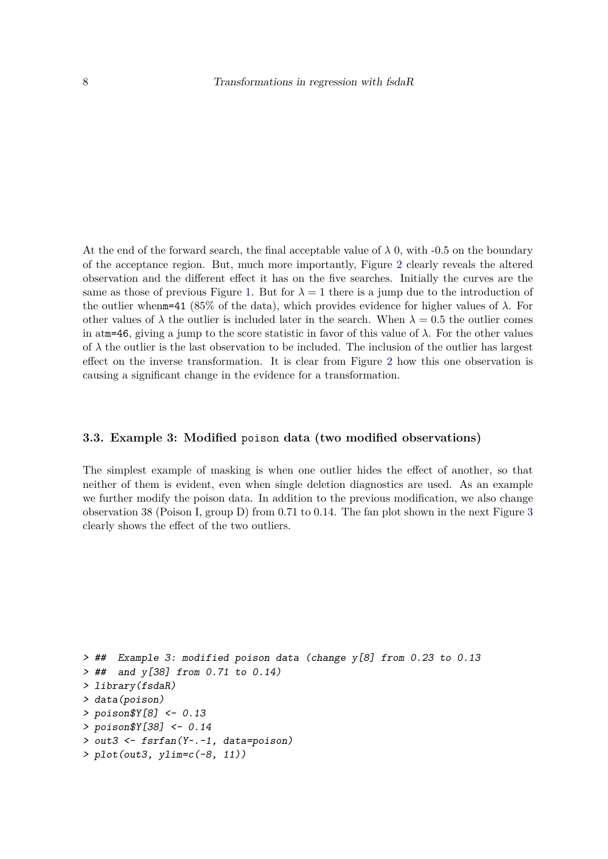At the end of the forward search, the final acceptable value of  $\lambda$  0, with -0.5 on the boundary of the acceptance region. But, much more importantly, Figure [2](#page-6-0) clearly reveals the altered observation and the different effect it has on the five searches. Initially the curves are the same as those of previous Figure [1.](#page-4-0) But for  $\lambda = 1$  there is a jump due to the introduction of the outlier whenm=41 (85% of the data), which provides evidence for higher values of  $\lambda$ . For other values of  $\lambda$  the outlier is included later in the search. When  $\lambda = 0.5$  the outlier comes in atm=46, giving a jump to the score statistic in favor of this value of  $\lambda$ . For the other values of  $\lambda$  the outlier is the last observation to be included. The inclusion of the outlier has largest effect on the inverse transformation. It is clear from Figure [2](#page-6-0) how this one observation is causing a significant change in the evidence for a transformation.

#### **3.3. Example 3: Modified** poison **data (two modified observations)**

The simplest example of masking is when one outlier hides the effect of another, so that neither of them is evident, even when single deletion diagnostics are used. As an example we further modify the poison data. In addition to the previous modification, we also change observation 38 (Poison I, group D) from 0.71 to 0.14. The fan plot shown in the next Figure [3](#page-8-0) clearly shows the effect of the two outliers.

```
> ## Example 3: modified poison data (change y[8] from 0.23 to 0.13
> ## and y[38] from 0.71 to 0.14)
> library(fsdaR)
> data(poison)
> poison$Y[8] <- 0.13
> poison$Y[38] <- 0.14
> out3 <- fsrfan(Y~.-1, data=poison)
> plot(out3, ylim=c(-8, 11))
```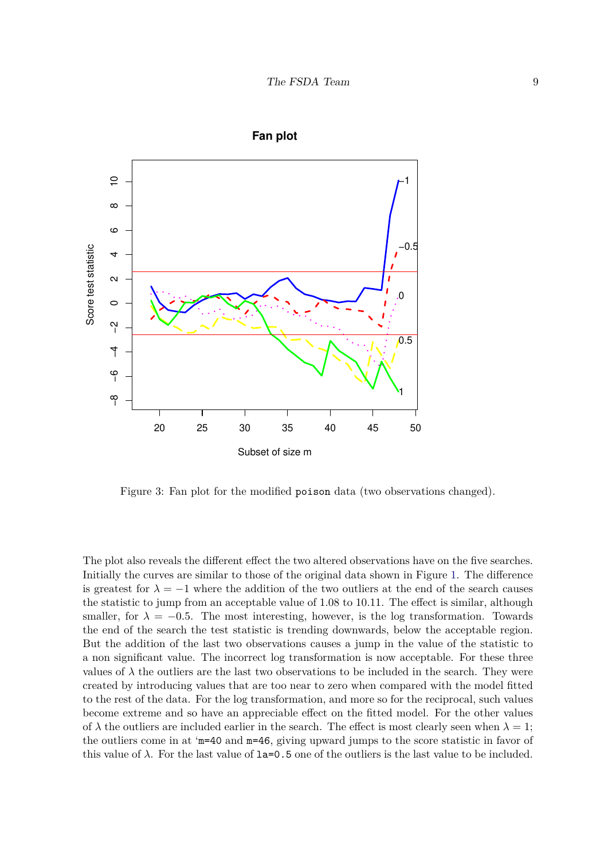

**Fan plot**

<span id="page-8-0"></span>Figure 3: Fan plot for the modified poison data (two observations changed).

The plot also reveals the different effect the two altered observations have on the five searches. Initially the curves are similar to those of the original data shown in Figure [1.](#page-4-0) The difference is greatest for  $\lambda = -1$  where the addition of the two outliers at the end of the search causes the statistic to jump from an acceptable value of 1.08 to 10.11. The effect is similar, although smaller, for  $\lambda = -0.5$ . The most interesting, however, is the log transformation. Towards the end of the search the test statistic is trending downwards, below the acceptable region. But the addition of the last two observations causes a jump in the value of the statistic to a non significant value. The incorrect log transformation is now acceptable. For these three values of  $\lambda$  the outliers are the last two observations to be included in the search. They were created by introducing values that are too near to zero when compared with the model fitted to the rest of the data. For the log transformation, and more so for the reciprocal, such values become extreme and so have an appreciable effect on the fitted model. For the other values of  $\lambda$  the outliers are included earlier in the search. The effect is most clearly seen when  $\lambda = 1$ ; the outliers come in at 'm=40 and m=46, giving upward jumps to the score statistic in favor of this value of  $\lambda$ . For the last value of  $1a=0.5$  one of the outliers is the last value to be included.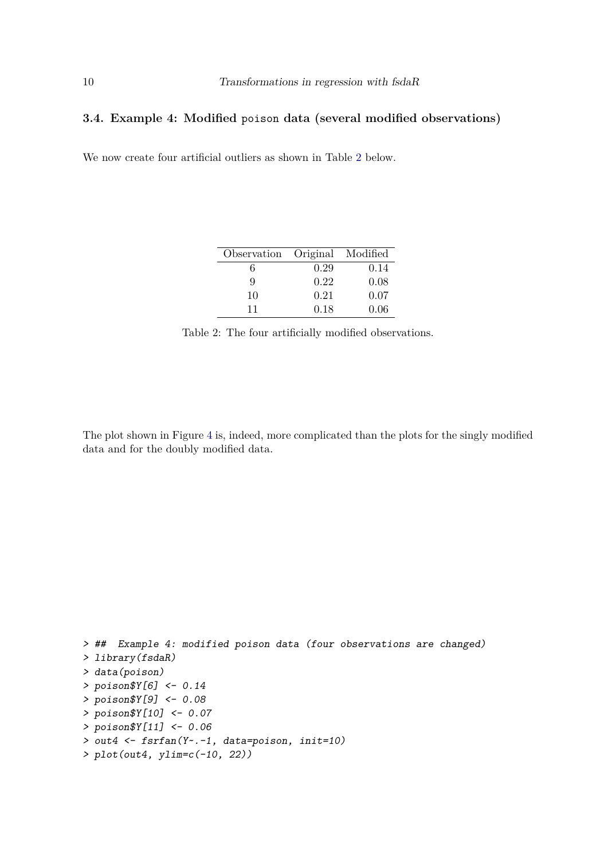### **3.4. Example 4: Modified** poison **data (several modified observations)**

We now create four artificial outliers as shown in Table [2](#page-9-0) below.

<span id="page-9-0"></span>

| Observation Original Modified |      |      |
|-------------------------------|------|------|
| 6                             | 0.29 | 0.14 |
| 9                             | 0.22 | 0.08 |
| 10                            | 0.21 | 0.07 |
| 11                            | 0.18 | 0.06 |

Table 2: The four artificially modified observations.

The plot shown in Figure [4](#page-10-0) is, indeed, more complicated than the plots for the singly modified data and for the doubly modified data.

```
> ## Example 4: modified poison data (four observations are changed)
> library(fsdaR)
> data(poison)
> poison$Y[6] <- 0.14
> poison$Y[9] <- 0.08
> poison$Y[10] <- 0.07
> poison$Y[11] <- 0.06
> out4 <- fsrfan(Y~.-1, data=poison, init=10)
> plot(out4, ylim=c(-10, 22))
```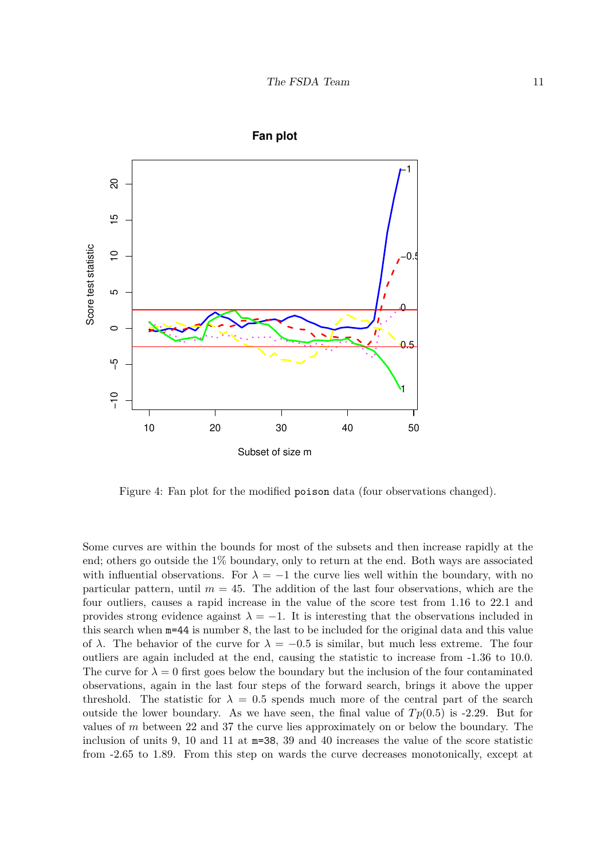

**Fan plot**

<span id="page-10-0"></span>Figure 4: Fan plot for the modified poison data (four observations changed).

Some curves are within the bounds for most of the subsets and then increase rapidly at the end; others go outside the 1% boundary, only to return at the end. Both ways are associated with influential observations. For  $\lambda = -1$  the curve lies well within the boundary, with no particular pattern, until  $m = 45$ . The addition of the last four observations, which are the four outliers, causes a rapid increase in the value of the score test from 1.16 to 22.1 and provides strong evidence against  $\lambda = -1$ . It is interesting that the observations included in this search when m=44 is number 8, the last to be included for the original data and this value of  $\lambda$ . The behavior of the curve for  $\lambda = -0.5$  is similar, but much less extreme. The four outliers are again included at the end, causing the statistic to increase from -1.36 to 10.0. The curve for  $\lambda = 0$  first goes below the boundary but the inclusion of the four contaminated observations, again in the last four steps of the forward search, brings it above the upper threshold. The statistic for  $\lambda = 0.5$  spends much more of the central part of the search outside the lower boundary. As we have seen, the final value of  $Tp(0.5)$  is -2.29. But for values of *m* between 22 and 37 the curve lies approximately on or below the boundary. The inclusion of units 9, 10 and 11 at m=38, 39 and 40 increases the value of the score statistic from -2.65 to 1.89. From this step on wards the curve decreases monotonically, except at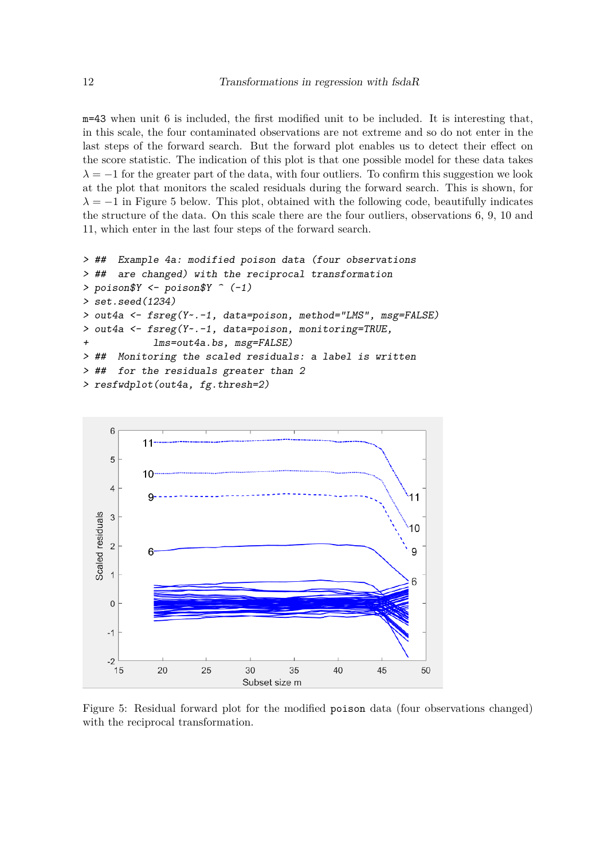m=43 when unit 6 is included, the first modified unit to be included. It is interesting that, in this scale, the four contaminated observations are not extreme and so do not enter in the last steps of the forward search. But the forward plot enables us to detect their effect on the score statistic. The indication of this plot is that one possible model for these data takes  $\lambda = -1$  for the greater part of the data, with four outliers. To confirm this suggestion we look at the plot that monitors the scaled residuals during the forward search. This is shown, for  $\lambda = -1$  in Figure 5 below. This plot, obtained with the following code, beautifully indicates the structure of the data. On this scale there are the four outliers, observations 6, 9, 10 and 11, which enter in the last four steps of the forward search.

```
> ## Example 4a: modified poison data (four observations
> ## are changed) with the reciprocal transformation
> poison$Y <- poison$Y ^ (-1)
> set.seed(1234)
> out4a <- fsreg(Y~.-1, data=poison, method="LMS", msg=FALSE)
> out4a <- fsreg(Y~.-1, data=poison, monitoring=TRUE,
+ lms=out4a.bs, msg=FALSE)
> ## Monitoring the scaled residuals: a label is written
> ## for the residuals greater than 2
> resfwdplot(out4a, fg.thresh=2)
```
![](_page_11_Figure_3.jpeg)

Figure 5: Residual forward plot for the modified poison data (four observations changed) with the reciprocal transformation.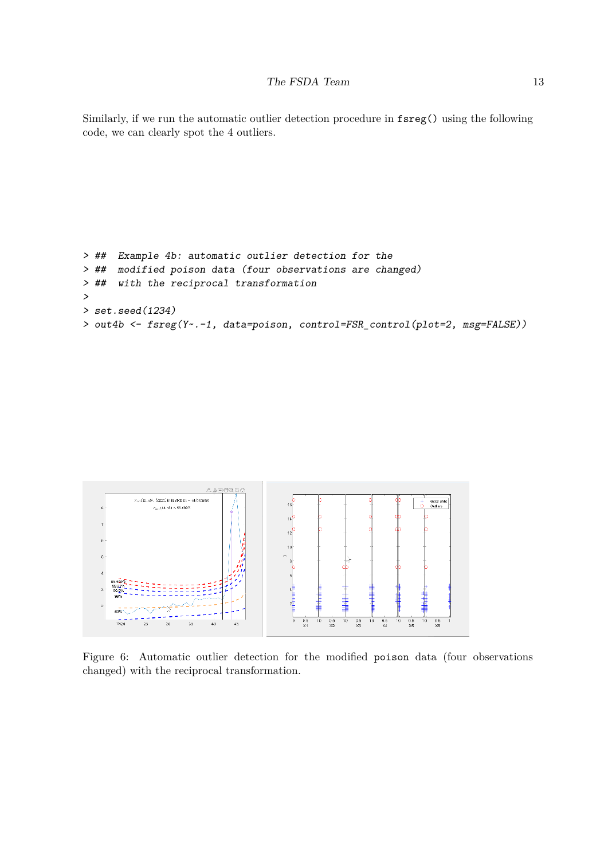Similarly, if we run the automatic outlier detection procedure in fsreg() using the following code, we can clearly spot the 4 outliers.

```
> ## Example 4b: automatic outlier detection for the
> ## modified poison data (four observations are changed)
> ## with the reciprocal transformation
>
> set.seed(1234)
> out4b <- fsreg(Y~.-1, data=poison, control=FSR_control(plot=2, msg=FALSE))
```
![](_page_12_Figure_3.jpeg)

Figure 6: Automatic outlier detection for the modified poison data (four observations changed) with the reciprocal transformation.